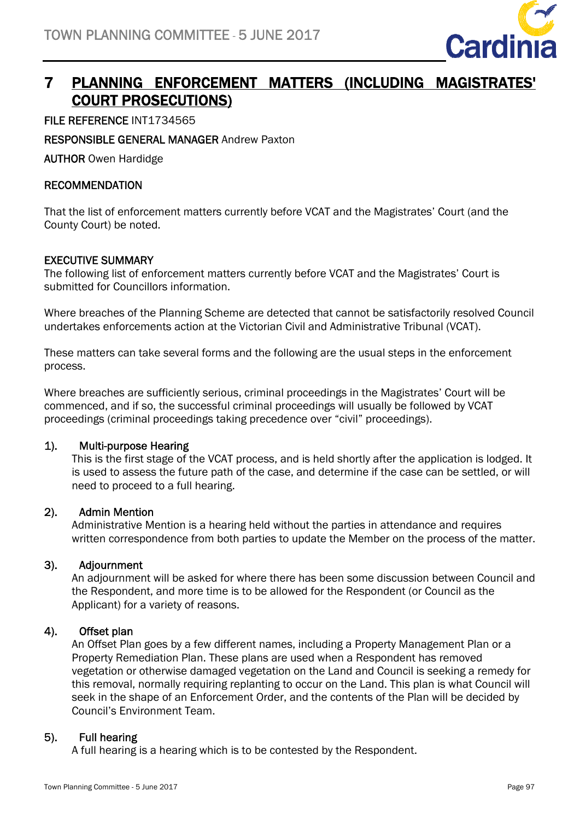

# 7 PLANNING ENFORCEMENT MATTERS (INCLUDING MAGISTRATES' COURT PROSECUTIONS)

FILE REFERENCE INT1734565

RESPONSIBLE GENERAL MANAGER Andrew Paxton

AUTHOR Owen Hardidge

### **RECOMMENDATION**

That the list of enforcement matters currently before VCAT and the Magistrates' Court (and the County Court) be noted.

#### EXECUTIVE SUMMARY

The following list of enforcement matters currently before VCAT and the Magistrates' Court is submitted for Councillors information.

Where breaches of the Planning Scheme are detected that cannot be satisfactorily resolved Council undertakes enforcements action at the Victorian Civil and Administrative Tribunal (VCAT).

These matters can take several forms and the following are the usual steps in the enforcement process.

Where breaches are sufficiently serious, criminal proceedings in the Magistrates' Court will be commenced, and if so, the successful criminal proceedings will usually be followed by VCAT proceedings (criminal proceedings taking precedence over "civil" proceedings).

#### 1). Multi-purpose Hearing

This is the first stage of the VCAT process, and is held shortly after the application is lodged. It is used to assess the future path of the case, and determine if the case can be settled, or will need to proceed to a full hearing.

#### 2). Admin Mention

Administrative Mention is a hearing held without the parties in attendance and requires written correspondence from both parties to update the Member on the process of the matter.

#### 3). Adjournment

An adjournment will be asked for where there has been some discussion between Council and the Respondent, and more time is to be allowed for the Respondent (or Council as the Applicant) for a variety of reasons.

# 4). Offset plan

An Offset Plan goes by a few different names, including a Property Management Plan or a Property Remediation Plan. These plans are used when a Respondent has removed vegetation or otherwise damaged vegetation on the Land and Council is seeking a remedy for this removal, normally requiring replanting to occur on the Land. This plan is what Council will seek in the shape of an Enforcement Order, and the contents of the Plan will be decided by Council's Environment Team.

# 5). Full hearing

A full hearing is a hearing which is to be contested by the Respondent.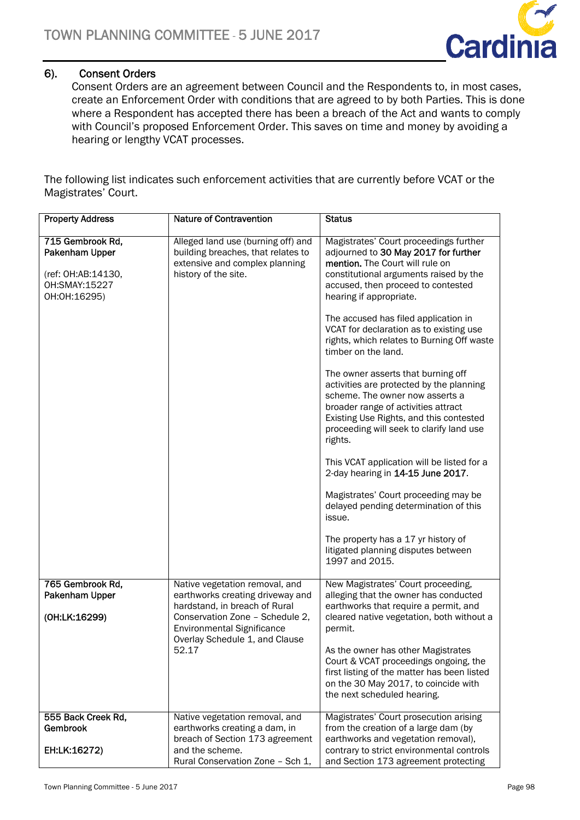

# 6). Consent Orders

Consent Orders are an agreement between Council and the Respondents to, in most cases, create an Enforcement Order with conditions that are agreed to by both Parties. This is done where a Respondent has accepted there has been a breach of the Act and wants to comply with Council's proposed Enforcement Order. This saves on time and money by avoiding a hearing or lengthy VCAT processes.

The following list indicates such enforcement activities that are currently before VCAT or the Magistrates' Court.

| <b>Property Address</b>                                                                   | <b>Nature of Contravention</b>                                                                                                                                                       | <b>Status</b>                                                                                                                                                                                                                                                                                                                                                                                                                                                                                                                                                                                                                                                                                                                                                                                                                                                                                                                    |
|-------------------------------------------------------------------------------------------|--------------------------------------------------------------------------------------------------------------------------------------------------------------------------------------|----------------------------------------------------------------------------------------------------------------------------------------------------------------------------------------------------------------------------------------------------------------------------------------------------------------------------------------------------------------------------------------------------------------------------------------------------------------------------------------------------------------------------------------------------------------------------------------------------------------------------------------------------------------------------------------------------------------------------------------------------------------------------------------------------------------------------------------------------------------------------------------------------------------------------------|
| 715 Gembrook Rd,<br>Pakenham Upper<br>(ref: OH:AB:14130,<br>OH:SMAY:15227<br>OH:OH:16295) | Alleged land use (burning off) and<br>building breaches, that relates to<br>extensive and complex planning<br>history of the site.                                                   | Magistrates' Court proceedings further<br>adjourned to 30 May 2017 for further<br>mention. The Court will rule on<br>constitutional arguments raised by the<br>accused, then proceed to contested<br>hearing if appropriate.<br>The accused has filed application in<br>VCAT for declaration as to existing use<br>rights, which relates to Burning Off waste<br>timber on the land.<br>The owner asserts that burning off<br>activities are protected by the planning<br>scheme. The owner now asserts a<br>broader range of activities attract<br>Existing Use Rights, and this contested<br>proceeding will seek to clarify land use<br>rights.<br>This VCAT application will be listed for a<br>2-day hearing in 14-15 June 2017.<br>Magistrates' Court proceeding may be<br>delayed pending determination of this<br>issue.<br>The property has a 17 yr history of<br>litigated planning disputes between<br>1997 and 2015. |
| 765 Gembrook Rd,                                                                          | Native vegetation removal, and                                                                                                                                                       | New Magistrates' Court proceeding,                                                                                                                                                                                                                                                                                                                                                                                                                                                                                                                                                                                                                                                                                                                                                                                                                                                                                               |
| Pakenham Upper<br>(OH:LK:16299)                                                           | earthworks creating driveway and<br>hardstand, in breach of Rural<br>Conservation Zone - Schedule 2,<br><b>Environmental Significance</b><br>Overlay Schedule 1, and Clause<br>52.17 | alleging that the owner has conducted<br>earthworks that require a permit, and<br>cleared native vegetation, both without a<br>permit.                                                                                                                                                                                                                                                                                                                                                                                                                                                                                                                                                                                                                                                                                                                                                                                           |
|                                                                                           |                                                                                                                                                                                      | As the owner has other Magistrates<br>Court & VCAT proceedings ongoing, the<br>first listing of the matter has been listed<br>on the 30 May 2017, to coincide with<br>the next scheduled hearing.                                                                                                                                                                                                                                                                                                                                                                                                                                                                                                                                                                                                                                                                                                                                |
| 555 Back Creek Rd,<br><b>Gembrook</b>                                                     | Native vegetation removal, and<br>earthworks creating a dam, in                                                                                                                      | Magistrates' Court prosecution arising<br>from the creation of a large dam (by                                                                                                                                                                                                                                                                                                                                                                                                                                                                                                                                                                                                                                                                                                                                                                                                                                                   |
| EH:LK:16272)                                                                              | breach of Section 173 agreement<br>and the scheme.<br>Rural Conservation Zone - Sch 1,                                                                                               | earthworks and vegetation removal),<br>contrary to strict environmental controls<br>and Section 173 agreement protecting                                                                                                                                                                                                                                                                                                                                                                                                                                                                                                                                                                                                                                                                                                                                                                                                         |